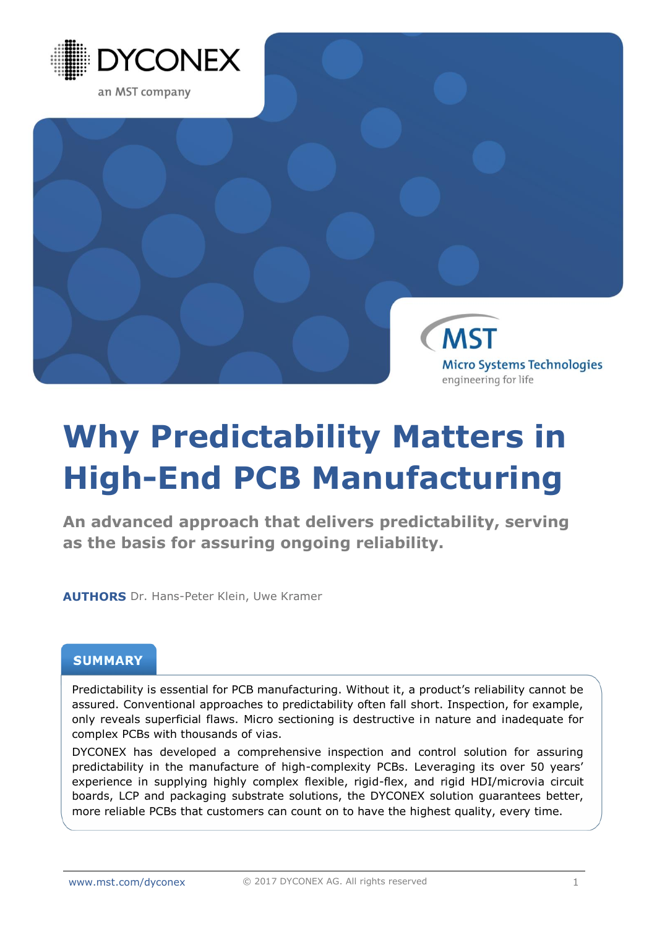

**MST Micro Systems Technologies** engineering for life

# **Why Predictability Matters in High-End PCB Manufacturing**

**An advanced approach that delivers predictability, serving as the basis for assuring ongoing reliability.**

**AUTHORS** Dr. Hans-Peter Klein, Uwe Kramer

# **SUMMARY**

Predictability is essential for PCB manufacturing. Without it, a product's reliability cannot be assured. Conventional approaches to predictability often fall short. Inspection, for example, only reveals superficial flaws. Micro sectioning is destructive in nature and inadequate for complex PCBs with thousands of vias.

DYCONEX has developed a comprehensive inspection and control solution for assuring predictability in the manufacture of high-complexity PCBs. Leveraging its over 50 years' experience in supplying highly complex flexible, rigid-flex, and rigid HDI/microvia circuit boards, LCP and packaging substrate solutions, the DYCONEX solution guarantees better, more reliable PCBs that customers can count on to have the highest quality, every time.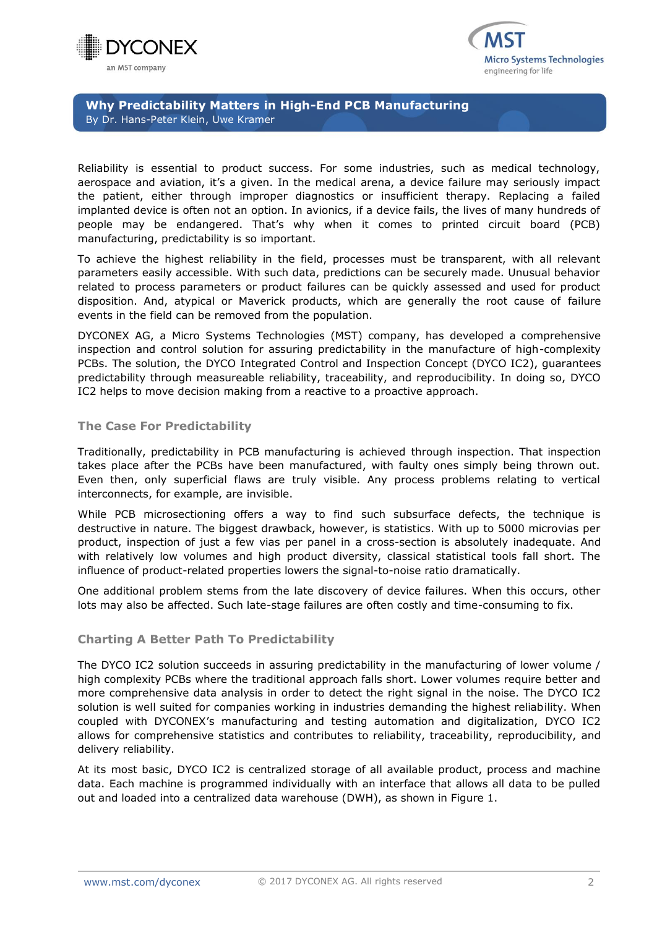



**Why Predictability Matters in High-End PCB Manufacturing**  By Dr. Hans-Peter Klein, Uwe Kramer

Reliability is essential to product success. For some industries, such as medical technology, aerospace and aviation, it's a given. In the medical arena, a device failure may seriously impact the patient, either through improper diagnostics or insufficient therapy. Replacing a failed implanted device is often not an option. In avionics, if a device fails, the lives of many hundreds of people may be endangered. That's why when it comes to printed circuit board (PCB) manufacturing, predictability is so important.

To achieve the highest reliability in the field, processes must be transparent, with all relevant parameters easily accessible. With such data, predictions can be securely made. Unusual behavior related to process parameters or product failures can be quickly assessed and used for product disposition. And, atypical or Maverick products, which are generally the root cause of failure events in the field can be removed from the population.

DYCONEX AG, a Micro Systems Technologies (MST) company, has developed a comprehensive inspection and control solution for assuring predictability in the manufacture of high-complexity PCBs. The solution, the DYCO Integrated Control and Inspection Concept (DYCO IC2), guarantees predictability through measureable reliability, traceability, and reproducibility. In doing so, DYCO IC2 helps to move decision making from a reactive to a proactive approach.

#### **The Case For Predictability**

Traditionally, predictability in PCB manufacturing is achieved through inspection. That inspection takes place after the PCBs have been manufactured, with faulty ones simply being thrown out. Even then, only superficial flaws are truly visible. Any process problems relating to vertical interconnects, for example, are invisible.

While PCB microsectioning offers a way to find such subsurface defects, the technique is destructive in nature. The biggest drawback, however, is statistics. With up to 5000 microvias per product, inspection of just a few vias per panel in a cross-section is absolutely inadequate. And with relatively low volumes and high product diversity, classical statistical tools fall short. The influence of product-related properties lowers the signal-to-noise ratio dramatically.

One additional problem stems from the late discovery of device failures. When this occurs, other lots may also be affected. Such late-stage failures are often costly and time-consuming to fix.

## **Charting A Better Path To Predictability**

The DYCO IC2 solution succeeds in assuring predictability in the manufacturing of lower volume / high complexity PCBs where the traditional approach falls short. Lower volumes require better and more comprehensive data analysis in order to detect the right signal in the noise. The DYCO IC2 solution is well suited for companies working in industries demanding the highest reliability. When coupled with DYCONEX's manufacturing and testing automation and digitalization, DYCO IC2 allows for comprehensive statistics and contributes to reliability, traceability, reproducibility, and delivery reliability.

At its most basic, DYCO IC2 is centralized storage of all available product, process and machine data. Each machine is programmed individually with an interface that allows all data to be pulled out and loaded into a centralized data warehouse (DWH), as shown in Figure 1.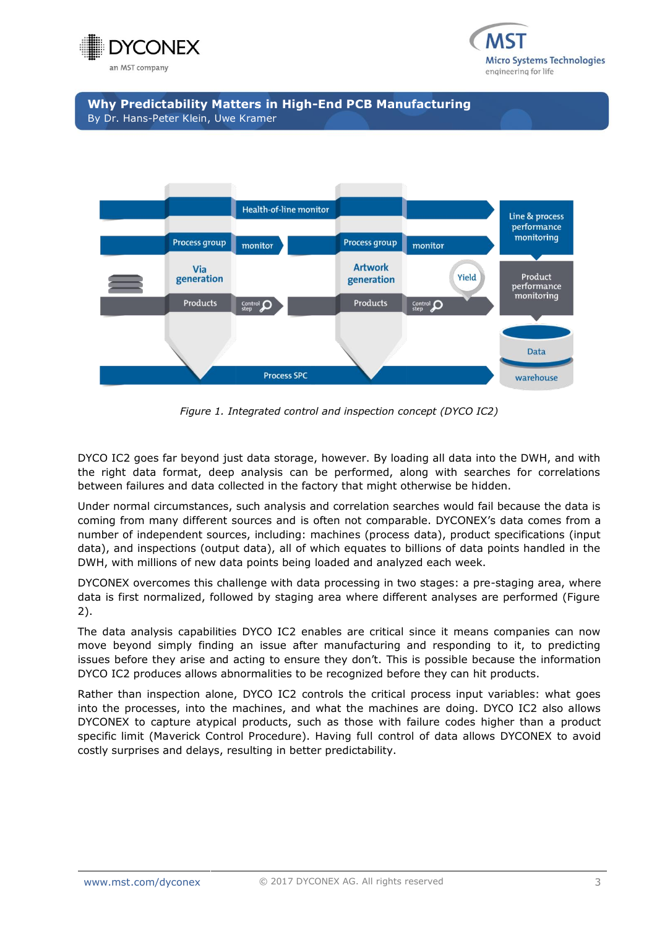



**Why Predictability Matters in High-End PCB Manufacturing** By Dr. Hans-Peter Klein, Uwe Kramer



*Figure 1. Integrated control and inspection concept (DYCO IC2)*

DYCO IC2 goes far beyond just data storage, however. By loading all data into the DWH, and with the right data format, deep analysis can be performed, along with searches for correlations between failures and data collected in the factory that might otherwise be hidden.

Under normal circumstances, such analysis and correlation searches would fail because the data is coming from many different sources and is often not comparable. DYCONEX's data comes from a number of independent sources, including: machines (process data), product specifications (input data), and inspections (output data), all of which equates to billions of data points handled in the DWH, with millions of new data points being loaded and analyzed each week.

DYCONEX overcomes this challenge with data processing in two stages: a pre-staging area, where data is first normalized, followed by staging area where different analyses are performed (Figure 2).

The data analysis capabilities DYCO IC2 enables are critical since it means companies can now move beyond simply finding an issue after manufacturing and responding to it, to predicting issues before they arise and acting to ensure they don't. This is possible because the information DYCO IC2 produces allows abnormalities to be recognized before they can hit products.

Rather than inspection alone, DYCO IC2 controls the critical process input variables: what goes into the processes, into the machines, and what the machines are doing. DYCO IC2 also allows DYCONEX to capture atypical products, such as those with failure codes higher than a product specific limit (Maverick Control Procedure). Having full control of data allows DYCONEX to avoid costly surprises and delays, resulting in better predictability.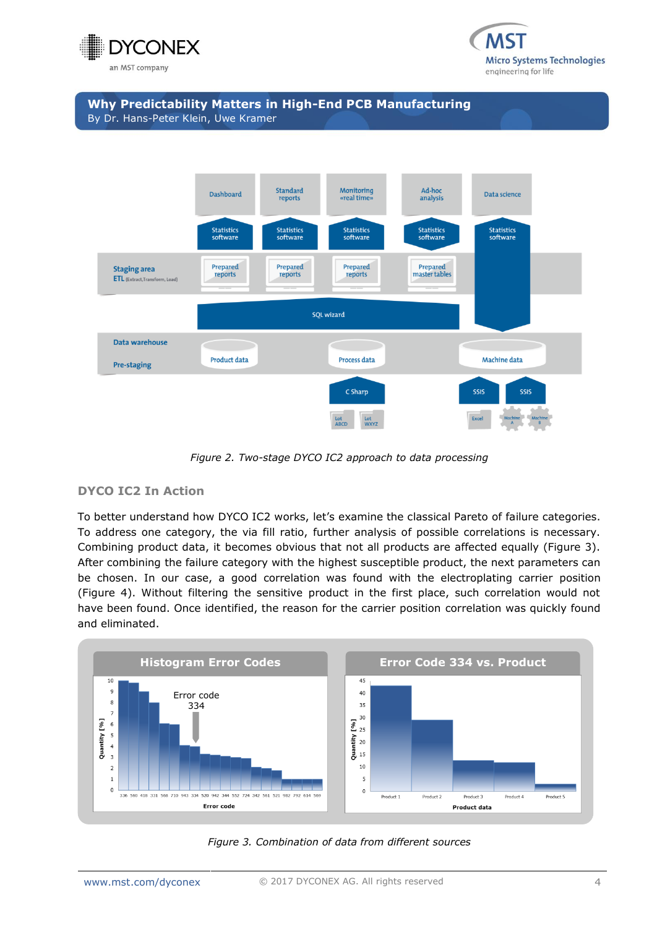







*Figure 2. Two-stage DYCO IC2 approach to data processing*

## **DYCO IC2 In Action**

To better understand how DYCO IC2 works, let's examine the classical Pareto of failure categories. To address one category, the via fill ratio, further analysis of possible correlations is necessary. Combining product data, it becomes obvious that not all products are affected equally (Figure 3). After combining the failure category with the highest susceptible product, the next parameters can be chosen. In our case, a good correlation was found with the electroplating carrier position (Figure 4). Without filtering the sensitive product in the first place, such correlation would not have been found. Once identified, the reason for the carrier position correlation was quickly found and eliminated.



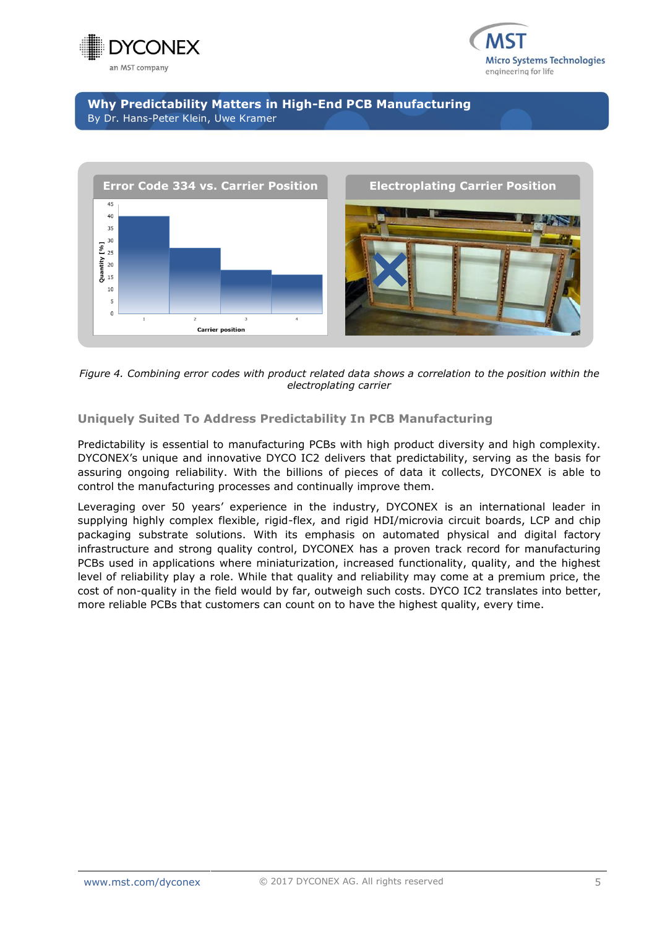



# **Why Predictability Matters in High-End PCB Manufacturing** By Dr. Hans-Peter Klein, Uwe Kramer



*Figure 4. Combining error codes with product related data shows a correlation to the position within the electroplating carrier*

# **Uniquely Suited To Address Predictability In PCB Manufacturing**

Predictability is essential to manufacturing PCBs with high product diversity and high complexity. DYCONEX's unique and innovative DYCO IC2 delivers that predictability, serving as the basis for assuring ongoing reliability. With the billions of pieces of data it collects, DYCONEX is able to control the manufacturing processes and continually improve them.

Leveraging over 50 years' experience in the industry, DYCONEX is an international leader in supplying highly complex flexible, rigid-flex, and rigid HDI/microvia circuit boards, LCP and chip packaging substrate solutions. With its emphasis on automated physical and digital factory infrastructure and strong quality control, DYCONEX has a proven track record for manufacturing PCBs used in applications where miniaturization, increased functionality, quality, and the highest level of reliability play a role. While that quality and reliability may come at a premium price, the cost of non-quality in the field would by far, outweigh such costs. DYCO IC2 translates into better, more reliable PCBs that customers can count on to have the highest quality, every time.